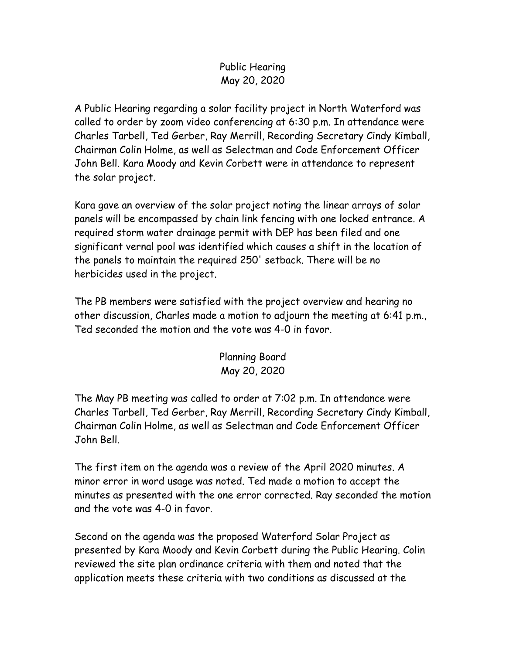## Public Hearing May 20, 2020

A Public Hearing regarding a solar facility project in North Waterford was called to order by zoom video conferencing at 6:30 p.m. In attendance were Charles Tarbell, Ted Gerber, Ray Merrill, Recording Secretary Cindy Kimball, Chairman Colin Holme, as well as Selectman and Code Enforcement Officer John Bell. Kara Moody and Kevin Corbett were in attendance to represent the solar project.

Kara gave an overview of the solar project noting the linear arrays of solar panels will be encompassed by chain link fencing with one locked entrance. A required storm water drainage permit with DEP has been filed and one significant vernal pool was identified which causes a shift in the location of the panels to maintain the required 250' setback. There will be no herbicides used in the project.

The PB members were satisfied with the project overview and hearing no other discussion, Charles made a motion to adjourn the meeting at 6:41 p.m., Ted seconded the motion and the vote was 4-0 in favor.

## Planning Board May 20, 2020

The May PB meeting was called to order at 7:02 p.m. In attendance were Charles Tarbell, Ted Gerber, Ray Merrill, Recording Secretary Cindy Kimball, Chairman Colin Holme, as well as Selectman and Code Enforcement Officer John Bell.

The first item on the agenda was a review of the April 2020 minutes. A minor error in word usage was noted. Ted made a motion to accept the minutes as presented with the one error corrected. Ray seconded the motion and the vote was 4-0 in favor.

Second on the agenda was the proposed Waterford Solar Project as presented by Kara Moody and Kevin Corbett during the Public Hearing. Colin reviewed the site plan ordinance criteria with them and noted that the application meets these criteria with two conditions as discussed at the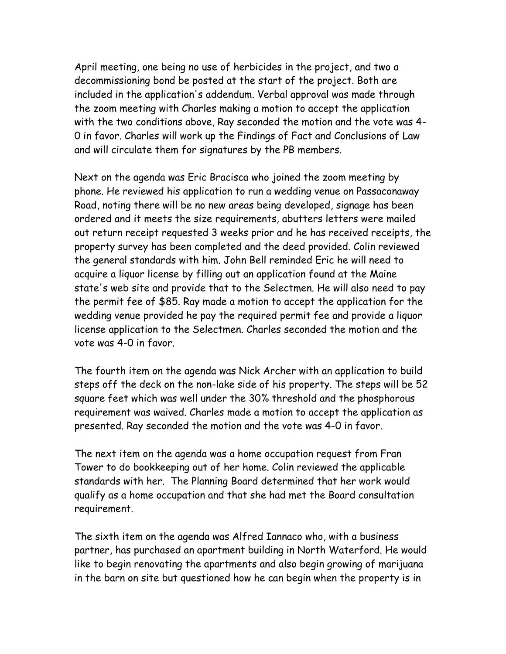April meeting, one being no use of herbicides in the project, and two a decommissioning bond be posted at the start of the project. Both are included in the application's addendum. Verbal approval was made through the zoom meeting with Charles making a motion to accept the application with the two conditions above, Ray seconded the motion and the vote was 4- 0 in favor. Charles will work up the Findings of Fact and Conclusions of Law and will circulate them for signatures by the PB members.

Next on the agenda was Eric Bracisca who joined the zoom meeting by phone. He reviewed his application to run a wedding venue on Passaconaway Road, noting there will be no new areas being developed, signage has been ordered and it meets the size requirements, abutters letters were mailed out return receipt requested 3 weeks prior and he has received receipts, the property survey has been completed and the deed provided. Colin reviewed the general standards with him. John Bell reminded Eric he will need to acquire a liquor license by filling out an application found at the Maine state's web site and provide that to the Selectmen. He will also need to pay the permit fee of \$85. Ray made a motion to accept the application for the wedding venue provided he pay the required permit fee and provide a liquor license application to the Selectmen. Charles seconded the motion and the vote was 4-0 in favor.

The fourth item on the agenda was Nick Archer with an application to build steps off the deck on the non-lake side of his property. The steps will be 52 square feet which was well under the 30% threshold and the phosphorous requirement was waived. Charles made a motion to accept the application as presented. Ray seconded the motion and the vote was 4-0 in favor.

The next item on the agenda was a home occupation request from Fran Tower to do bookkeeping out of her home. Colin reviewed the applicable standards with her. The Planning Board determined that her work would qualify as a home occupation and that she had met the Board consultation requirement.

The sixth item on the agenda was Alfred Iannaco who, with a business partner, has purchased an apartment building in North Waterford. He would like to begin renovating the apartments and also begin growing of marijuana in the barn on site but questioned how he can begin when the property is in